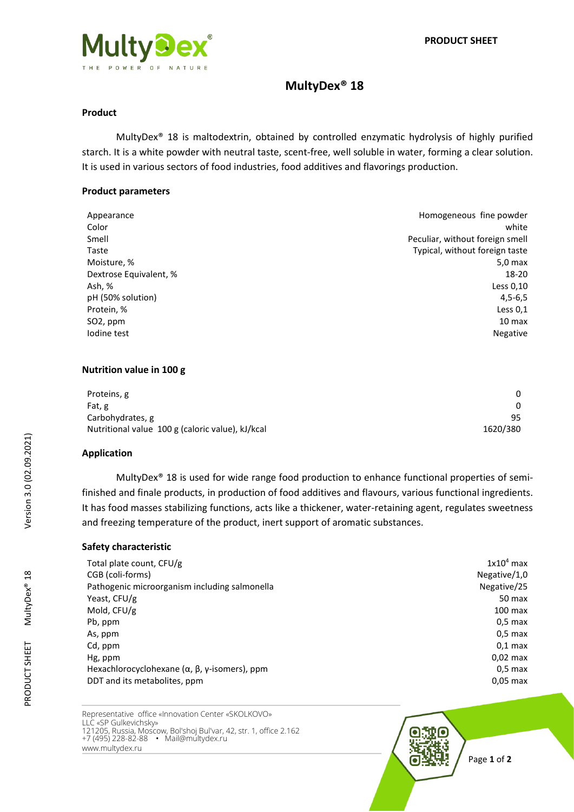# **MultyDex® 18**

#### **Product**

MultyDex® 18 is maltodextrin, obtained by controlled enzymatic hydrolysis of highly purified starch. It is a white powder with neutral taste, scent-free, well soluble in water, forming a clear solution. It is used in various sectors of food industries, food additives and flavorings production.

#### **Product parameters**

| Homogeneous fine powder         |
|---------------------------------|
| white                           |
| Peculiar, without foreign smell |
| Typical, without foreign taste  |
| 5.0 <sub>max</sub>              |
| 18-20                           |
| Less 0,10                       |
| $4,5-6,5$                       |
| Less $0,1$                      |
| 10 max                          |
| Negative                        |
|                                 |

### **Nutrition value in 100 g**

| Proteins, g                                      |          |
|--------------------------------------------------|----------|
| Fat, g                                           |          |
| Carbohydrates, g                                 | 95       |
| Nutritional value 100 g (caloric value), kJ/kcal | 1620/380 |

## **Application**

MultyDex® 18 is used for wide range food production to enhance functional properties of semifinished and finale products, in production of food additives and flavours, various functional ingredients. It has food masses stabilizing functions, acts like a thickener, water-retaining agent, regulates sweetness and freezing temperature of the product, inert support of aromatic substances.

## **Safety characteristic**

| Total plate count, CFU/g                                             | $1x104$ max  |
|----------------------------------------------------------------------|--------------|
| CGB (coli-forms)                                                     | Negative/1,0 |
| Pathogenic microorganism including salmonella                        | Negative/25  |
| Yeast, CFU/g                                                         | 50 max       |
| Mold, CFU/g                                                          | $100$ max    |
| Pb, ppm                                                              | $0.5$ max    |
| As, ppm                                                              | $0.5$ max    |
| Cd, ppm                                                              | $0.1$ max    |
| Hg, ppm                                                              | $0.02$ max   |
| Hexachlorocyclohexane ( $\alpha$ , $\beta$ , $\gamma$ -isomers), ppm | $0.5$ max    |
| DDT and its metabolites, ppm                                         | $0.05$ max   |
|                                                                      |              |

Representative office «Innovation Center «SKOLKOVO» LLC «SP Gulkevichsky» 121205, Russia, Moscow, Bol'shoj Bul'var, 42, str. 1, office 2.162 +7 (495) 228-82-88 • Mail@multydex.ru www.multydex.ru

Page **1** of **2**